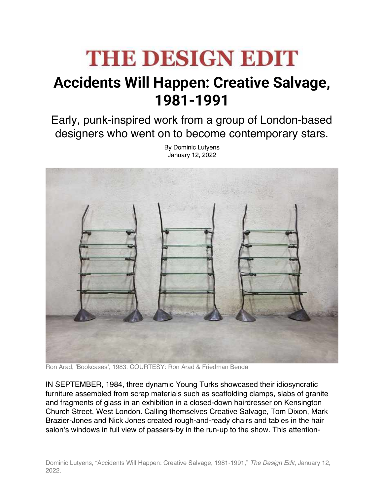## **THE DESIGN EDIT**

## **Accidents Will Happen: Creative Salvage, 1981-1991**

Early, punk-inspired work from a group of London-based designers who went on to become contemporary stars.

> By Dominic Lutyens January 12, 2022



Ron Arad, 'Bookcases', 1983. COURTESY: Ron Arad & Friedman Benda

IN SEPTEMBER, 1984, three dynamic Young Turks showcased their idiosyncratic furniture assembled from scrap materials such as scaffolding clamps, slabs of granite and fragments of glass in an exhibition in a closed-down hairdresser on Kensington Church Street, West London. Calling themselves Creative Salvage, Tom Dixon, Mark Brazier-Jones and Nick Jones created rough-and-ready chairs and tables in the hair salon's windows in full view of passers-by in the run-up to the show. This attention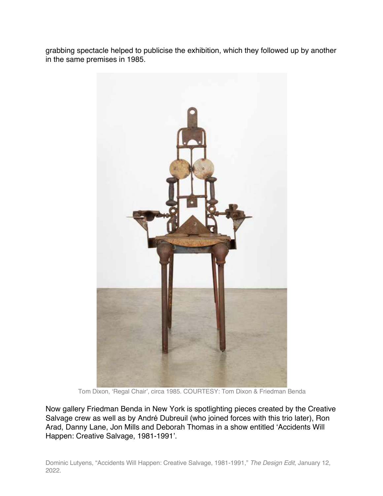grabbing spectacle helped to publicise the exhibition, which they followed up by another in the same premises in 1985.



Tom Dixon, 'Regal Chair', circa 1985. COURTESY: Tom Dixon & Friedman Benda

Now gallery Friedman Benda in New York is spotlighting pieces created by the Creative Salvage crew as well as by André Dubreuil (who joined forces with this trio later), Ron Arad, Danny Lane, Jon Mills and Deborah Thomas in a show entitled 'Accidents Will Happen: Creative Salvage, 1981-1991'.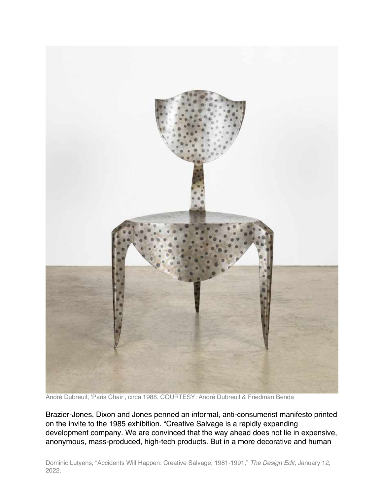

André Dubreuil, 'Paris Chair', circa 1988. COURTESY: André Dubreuil & Friedman Benda

Brazier-Jones, Dixon and Jones penned an informal, anti-consumerist manifesto printed on the invite to the 1985 exhibition. "Creative Salvage is a rapidly expanding development company. We are convinced that the way ahead does not lie in expensive, anonymous, mass-produced, high-tech products. But in a more decorative and human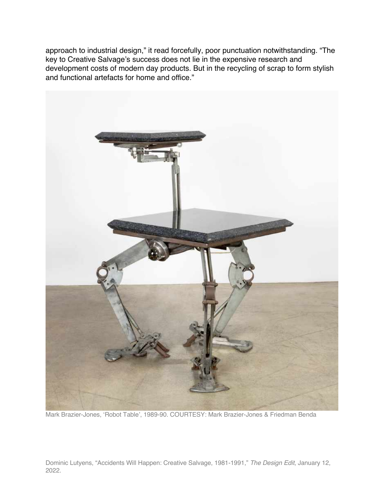approach to industrial design," it read forcefully, poor punctuation notwithstanding. "The key to Creative Salvage's success does not lie in the expensive research and development costs of modern day products. But in the recycling of scrap to form stylish and functional artefacts for home and office."



Mark Brazier-Jones, 'Robot Table', 1989-90. COURTESY: Mark Brazier-Jones & Friedman Benda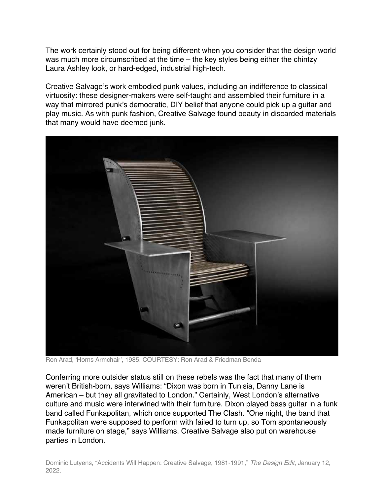The work certainly stood out for being different when you consider that the design world was much more circumscribed at the time – the key styles being either the chintzy Laura Ashley look, or hard-edged, industrial high-tech.

Creative Salvage's work embodied punk values, including an indifference to classical virtuosity: these designer-makers were self-taught and assembled their furniture in a way that mirrored punk's democratic, DIY belief that anyone could pick up a guitar and play music. As with punk fashion, Creative Salvage found beauty in discarded materials that many would have deemed junk.



Ron Arad, 'Horns Armchair', 1985. COURTESY: Ron Arad & Friedman Benda

Conferring more outsider status still on these rebels was the fact that many of them weren't British-born, says Williams: "Dixon was born in Tunisia, Danny Lane is American – but they all gravitated to London." Certainly, West London's alternative culture and music were interwined with their furniture. Dixon played bass guitar in a funk band called Funkapolitan, which once supported The Clash. "One night, the band that Funkapolitan were supposed to perform with failed to turn up, so Tom spontaneously made furniture on stage," says Williams. Creative Salvage also put on warehouse parties in London.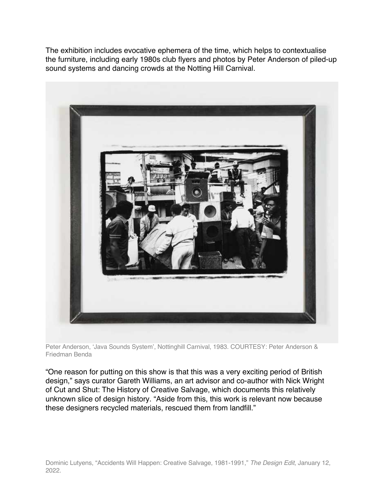The exhibition includes evocative ephemera of the time, which helps to contextualise the furniture, including early 1980s club flyers and photos by Peter Anderson of piled-up sound systems and dancing crowds at the Notting Hill Carnival.



Peter Anderson, 'Java Sounds System', Nottinghill Carnival, 1983. COURTESY: Peter Anderson & Friedman Benda

"One reason for putting on this show is that this was a very exciting period of British design," says curator Gareth Williams, an art advisor and co-author with Nick Wright of Cut and Shut: The History of Creative Salvage, which documents this relatively unknown slice of design history. "Aside from this, this work is relevant now because these designers recycled materials, rescued them from landfill."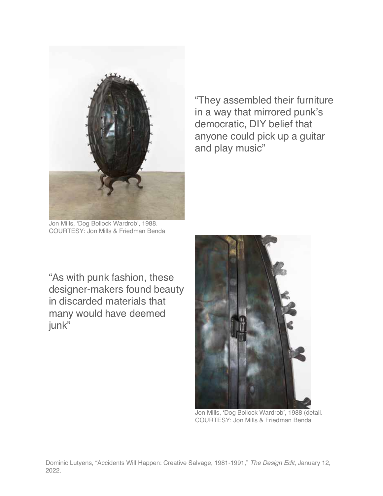

Jon Mills, 'Dog Bollock Wardrob', 1988. COURTESY: Jon Mills & Friedman Benda

"They assembled their furniture in a way that mirrored punk's democratic, DIY belief that anyone could pick up a guitar and play music"

"As with punk fashion, these designer-makers found beauty in discarded materials that many would have deemed junk"



Jon Mills, 'Dog Bollock Wardrob', 1988 (detail. COURTESY: Jon Mills & Friedman Benda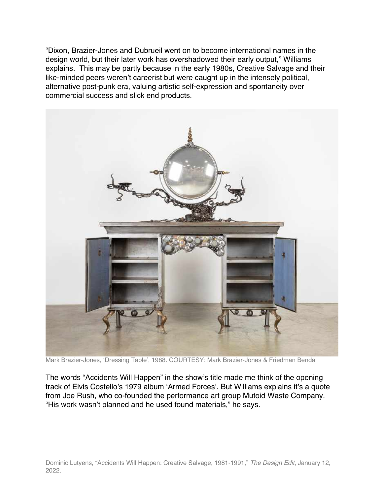"Dixon, Brazier-Jones and Dubrueil went on to become international names in the design world, but their later work has overshadowed their early output," Williams explains. This may be partly because in the early 1980s, Creative Salvage and their like-minded peers weren't careerist but were caught up in the intensely political, alternative post-punk era, valuing artistic self-expression and spontaneity over commercial success and slick end products.



Mark Brazier-Jones, 'Dressing Table', 1988. COURTESY: Mark Brazier-Jones & Friedman Benda

The words "Accidents Will Happen" in the show's title made me think of the opening track of Elvis Costello's 1979 album 'Armed Forces'. But Williams explains it's a quote from Joe Rush, who co-founded the performance art group Mutoid Waste Company. "His work wasn't planned and he used found materials," he says.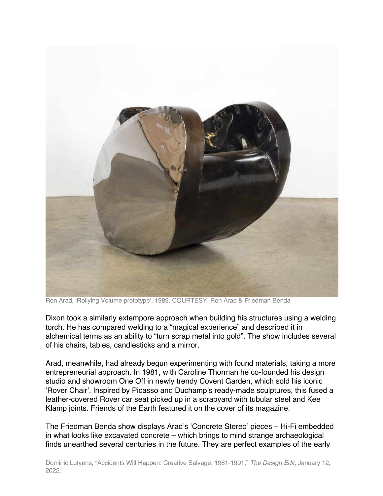

Ron Arad, 'Rollying Volume prototype', 1989. COURTESY: Ron Arad & Friedman Benda

Dixon took a similarly extempore approach when building his structures using a welding torch. He has compared welding to a "magical experience" and described it in alchemical terms as an ability to "turn scrap metal into gold". The show includes several of his chairs, tables, candlesticks and a mirror.

Arad, meanwhile, had already begun experimenting with found materials, taking a more entrepreneurial approach. In 1981, with Caroline Thorman he co-founded his design studio and showroom One Off in newly trendy Covent Garden, which sold his iconic 'Rover Chair'. Inspired by Picasso and Duchamp's ready-made sculptures, this fused a leather-covered Rover car seat picked up in a scrapyard with tubular steel and Kee Klamp joints. Friends of the Earth featured it on the cover of its magazine.

The Friedman Benda show displays Arad's 'Concrete Stereo' pieces – Hi-Fi embedded in what looks like excavated concrete – which brings to mind strange archaeological finds unearthed several centuries in the future. They are perfect examples of the early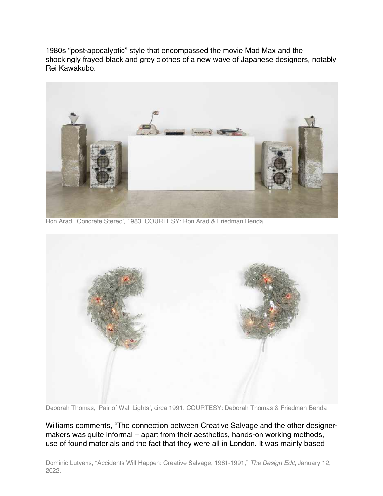1980s "post-apocalyptic" style that encompassed the movie Mad Max and the shockingly frayed black and grey clothes of a new wave of Japanese designers, notably Rei Kawakubo.



Ron Arad, 'Concrete Stereo', 1983. COURTESY: Ron Arad & Friedman Benda



Deborah Thomas, 'Pair of Wall Lights', circa 1991. COURTESY: Deborah Thomas & Friedman Benda

Williams comments, "The connection between Creative Salvage and the other designermakers was quite informal – apart from their aesthetics, hands-on working methods, use of found materials and the fact that they were all in London. It was mainly based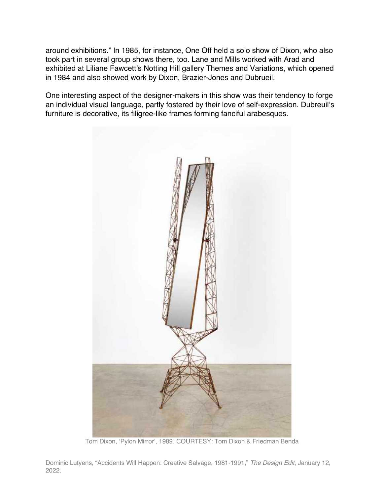around exhibitions." In 1985, for instance, One Off held a solo show of Dixon, who also took part in several group shows there, too. Lane and Mills worked with Arad and exhibited at Liliane Fawcett's Notting Hill gallery Themes and Variations, which opened in 1984 and also showed work by Dixon, Brazier-Jones and Dubrueil.

One interesting aspect of the designer-makers in this show was their tendency to forge an individual visual language, partly fostered by their love of self-expression. Dubreuil's furniture is decorative, its filigree-like frames forming fanciful arabesques.



Tom Dixon, 'Pylon Mirror', 1989. COURTESY: Tom Dixon & Friedman Benda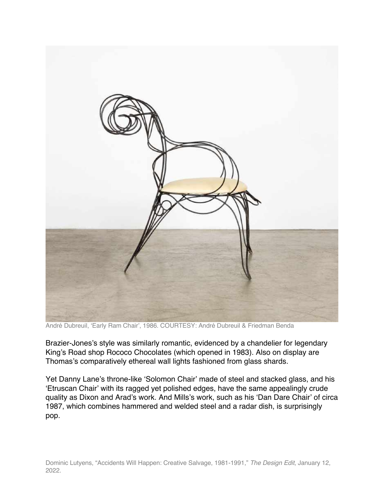

André Dubreuil, 'Early Ram Chair', 1986. COURTESY: André Dubreuil & Friedman Benda

Brazier-Jones's style was similarly romantic, evidenced by a chandelier for legendary King's Road shop Rococo Chocolates (which opened in 1983). Also on display are Thomas's comparatively ethereal wall lights fashioned from glass shards.

Yet Danny Lane's throne-like 'Solomon Chair' made of steel and stacked glass, and his 'Etruscan Chair' with its ragged yet polished edges, have the same appealingly crude quality as Dixon and Arad's work. And Mills's work, such as his 'Dan Dare Chair' of circa 1987, which combines hammered and welded steel and a radar dish, is surprisingly pop.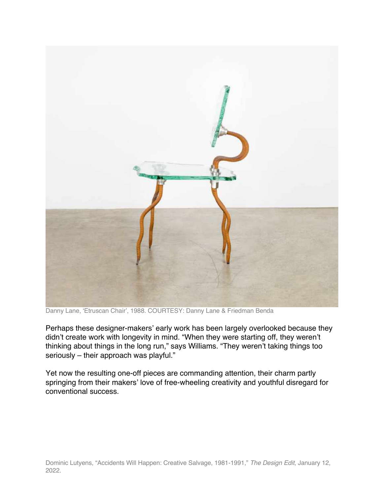

Danny Lane, 'Etruscan Chair', 1988. COURTESY: Danny Lane & Friedman Benda

Perhaps these designer-makers' early work has been largely overlooked because they didn't create work with longevity in mind. "When they were starting off, they weren't thinking about things in the long run," says Williams. "They weren't taking things too seriously – their approach was playful."

Yet now the resulting one-off pieces are commanding attention, their charm partly springing from their makers' love of free-wheeling creativity and youthful disregard for conventional success.